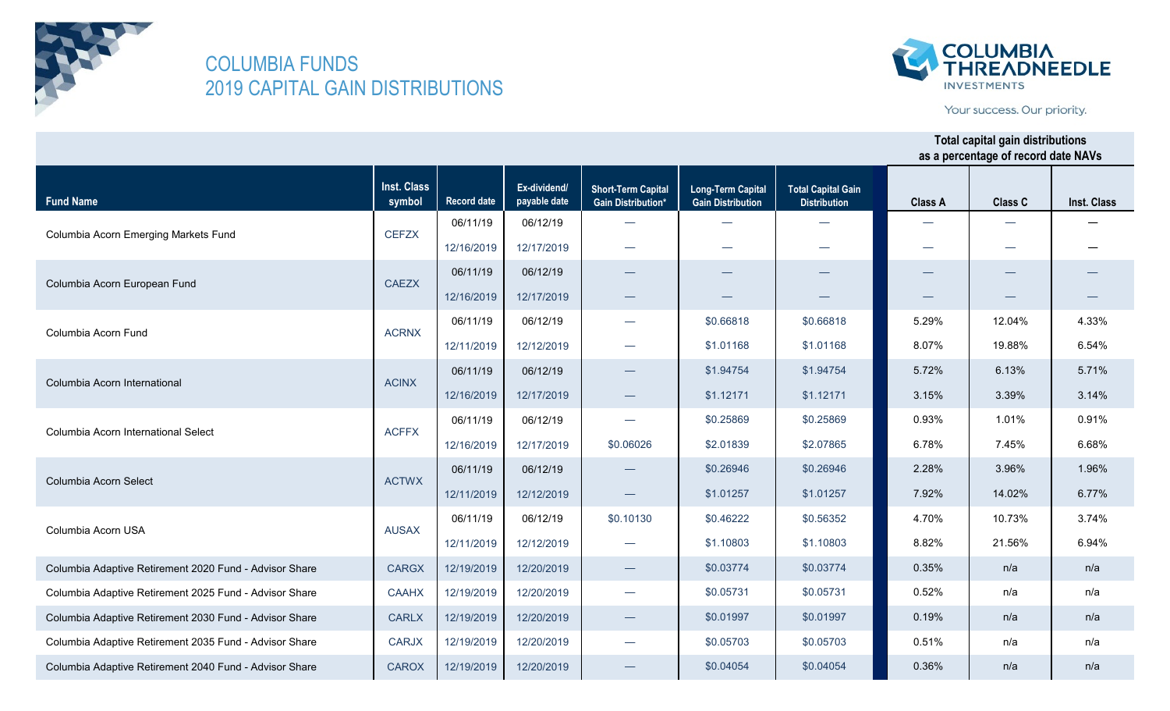



Your success. Our priority.

| <b>Fund Name</b>                                       | <b>Inst. Class</b><br>symbol | <b>Record date</b> | Ex-dividend/<br>payable date | <b>Short-Term Capital</b><br><b>Gain Distribution*</b> | <b>Long-Term Capital</b><br><b>Gain Distribution</b> | <b>Total Capital Gain</b><br><b>Distribution</b> | <b>Class A</b> | Class C | Inst. Class |
|--------------------------------------------------------|------------------------------|--------------------|------------------------------|--------------------------------------------------------|------------------------------------------------------|--------------------------------------------------|----------------|---------|-------------|
|                                                        | <b>CEFZX</b>                 | 06/11/19           | 06/12/19                     | $\equiv$                                               | $\overline{\phantom{0}}$                             |                                                  |                |         |             |
| Columbia Acorn Emerging Markets Fund                   |                              | 12/16/2019         | 12/17/2019                   |                                                        |                                                      |                                                  |                |         |             |
|                                                        | <b>CAEZX</b>                 | 06/11/19           | 06/12/19                     |                                                        |                                                      |                                                  |                |         |             |
| Columbia Acorn European Fund                           |                              | 12/16/2019         | 12/17/2019                   | $\hspace{0.1mm}-\hspace{0.1mm}$                        |                                                      |                                                  |                |         |             |
| Columbia Acorn Fund                                    | <b>ACRNX</b>                 | 06/11/19           | 06/12/19                     | $\overline{\phantom{m}}$                               | \$0.66818                                            | \$0.66818                                        | 5.29%          | 12.04%  | 4.33%       |
|                                                        |                              | 12/11/2019         | 12/12/2019                   |                                                        | \$1.01168                                            | \$1.01168                                        | 8.07%          | 19.88%  | 6.54%       |
| Columbia Acorn International                           |                              | 06/11/19           | 06/12/19                     |                                                        | \$1.94754                                            | \$1.94754                                        | 5.72%          | 6.13%   | 5.71%       |
|                                                        | <b>ACINX</b>                 | 12/16/2019         | 12/17/2019                   |                                                        | \$1.12171                                            | \$1.12171                                        | 3.15%          | 3.39%   | 3.14%       |
| Columbia Acorn International Select                    | <b>ACFFX</b>                 | 06/11/19           | 06/12/19                     | $\overline{\phantom{0}}$                               | \$0.25869                                            | \$0.25869                                        | 0.93%          | 1.01%   | 0.91%       |
|                                                        |                              | 12/16/2019         | 12/17/2019                   | \$0.06026                                              | \$2.01839                                            | \$2.07865                                        | 6.78%          | 7.45%   | 6.68%       |
|                                                        | <b>ACTWX</b>                 | 06/11/19           | 06/12/19                     | —                                                      | \$0.26946                                            | \$0.26946                                        | 2.28%          | 3.96%   | 1.96%       |
| Columbia Acorn Select                                  |                              | 12/11/2019         | 12/12/2019                   |                                                        | \$1.01257                                            | \$1.01257                                        | 7.92%          | 14.02%  | 6.77%       |
|                                                        |                              | 06/11/19           | 06/12/19                     | \$0.10130                                              | \$0.46222                                            | \$0.56352                                        | 4.70%          | 10.73%  | 3.74%       |
| Columbia Acorn USA                                     | <b>AUSAX</b>                 | 12/11/2019         | 12/12/2019                   |                                                        | \$1.10803                                            | \$1.10803                                        | 8.82%          | 21.56%  | 6.94%       |
| Columbia Adaptive Retirement 2020 Fund - Advisor Share | <b>CARGX</b>                 | 12/19/2019         | 12/20/2019                   |                                                        | \$0.03774                                            | \$0.03774                                        | 0.35%          | n/a     | n/a         |
| Columbia Adaptive Retirement 2025 Fund - Advisor Share | <b>CAAHX</b>                 | 12/19/2019         | 12/20/2019                   | $\overline{\phantom{0}}$                               | \$0.05731                                            | \$0.05731                                        | 0.52%          | n/a     | n/a         |
| Columbia Adaptive Retirement 2030 Fund - Advisor Share | <b>CARLX</b>                 | 12/19/2019         | 12/20/2019                   | $\hspace{0.1mm}-\hspace{0.1mm}$                        | \$0.01997                                            | \$0.01997                                        | 0.19%          | n/a     | n/a         |
| Columbia Adaptive Retirement 2035 Fund - Advisor Share | <b>CARJX</b>                 | 12/19/2019         | 12/20/2019                   |                                                        | \$0.05703                                            | \$0.05703                                        | 0.51%          | n/a     | n/a         |
| Columbia Adaptive Retirement 2040 Fund - Advisor Share | <b>CAROX</b>                 | 12/19/2019         | 12/20/2019                   |                                                        | \$0.04054                                            | \$0.04054                                        | 0.36%          | n/a     | n/a         |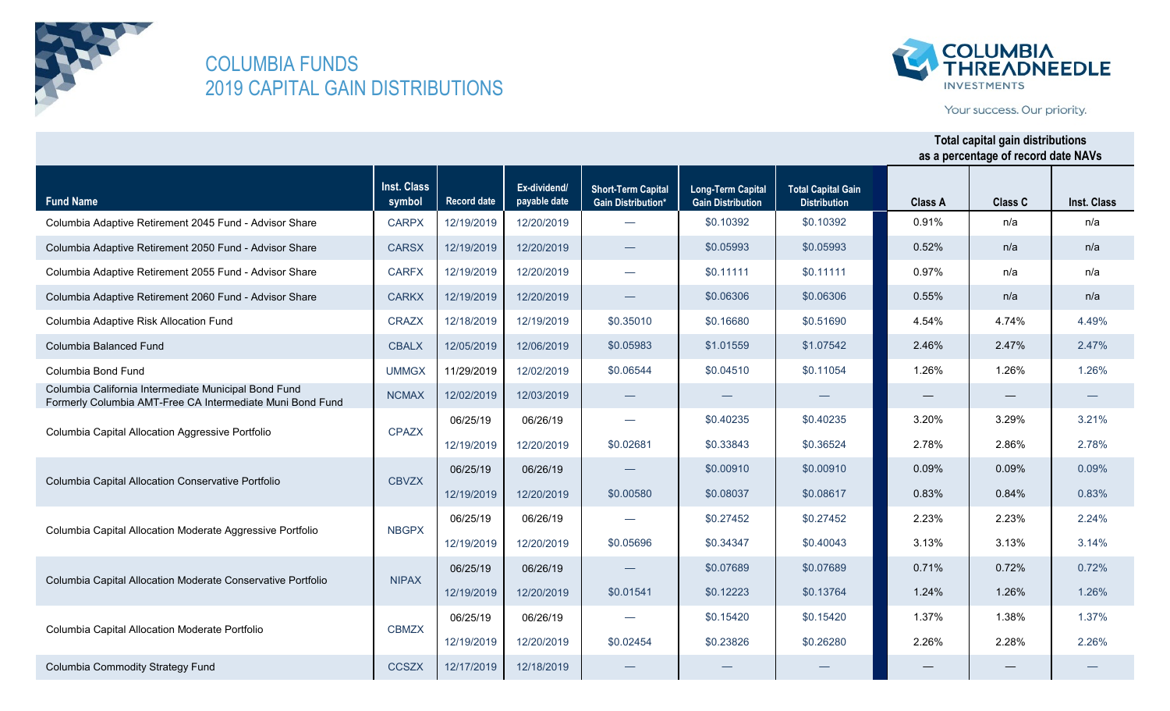

**Fund Name**

## COLUMBIA FUNDS 2019 CAPITAL GAIN DISTRIBUTIONS

Columbia Commodity Strategy Fund CCSZX 12/17/2019 12/18/2019

Columbia Capital Allocation Moderate Portfolio CBMZX



Your success. Our priority.

—

— —

2.26% 2.28% 2.26%

#### **Inst. Class symbol Record date Ex-dividend/ payable date Short-Term Capital Gain Distribution\* Long-Term Capital Gain Distribution Total Capital Gain Distribution Class A Class C Total capital gain distributions as a percentage of record date NAVs Inst. Class** Columbia Adaptive Retirement 2045 Fund - Advisor Share CARPX | 12/19/2019 | 12/20/2019 Columbia Adaptive Retirement 2050 Fund - Advisor Share CARSX | 12/19/2019 | 12/20/2019 Columbia Adaptive Retirement 2055 Fund - Advisor Share CARFX 12/19/2019 12/20/2019 Columbia Adaptive Retirement 2060 Fund - Advisor Share CARKX | 12/19/2019 | 12/20/2019 Columbia Adaptive Risk Allocation Fund CRAZX 12/18/2019 12/19/2019 Columbia Balanced Fund CBALX 12/05/2019 12/06/2019 Columbia Bond Fund UMMGX 11/29/2019 12/02/2019 Columbia California Intermediate Municipal Bond Fund Formerly Columbia AMT-Free CA Intermediate Muni Bond Fund NCMAX 12/02/2019 12/03/2019 06/25/19 06/26/19 12/19/2019 12/20/2019 06/25/19 06/26/19 12/19/2019 12/20/2019 06/25/19 06/26/19 12/19/2019 12/20/2019 06/25/19 06/26/19 12/19/2019 12/20/2019 06/25/19 06/26/19 — — — — \$0.35010 — \$0.00910 \$0.00910 \$0.05993 \$0.27452 Columbia Capital Allocation Moderate Aggressive Portfolio NBGPX \$0.11111 \$0.06306 \$0.51690 \$0.10392 \$0.10392 \$0.05993 — — — \$0.11054 \$0.05983 \$1.07542 \$1.01559 \$0.06544 \$0.11111 \$0.06306 \$0.16680 \$0.04510 — \$0.07689 \$0.07689 — \$0.15420 \$0.15420 n/a 2.46% 1.26% 2.47% 4.74% n/a n/a n/a n/a 0.91% n/a n/a — 3.20% 3.29% — 1.26% — 3.21% n/a 0.52% 0.97% 0.55% 4.54% 0.72% 2.23% 0.09% 0.09% 2.24% 0.72% 4.49% 2.47% 1.26% 2.86% 2.78% 1.37% 1.37% 1.38% Columbia Capital Allocation Aggressive Portfolio 0.84% 0.83% \$0.05696 \$0.34347 \$0.40043 3.13% 3.13% 3.14% \$0.01541 \$0.12223 \$0.13764 1.24% 1.26% 1.26% 0.09% CPAZX CBVZX NIPAX Columbia Capital Allocation Conservative Portfolio Columbia Capital Allocation Moderate Conservative Portfolio \$0.02681 \$0.33843 \$0.36524 2.78% 2.23% 0.71% \$0.40235 \$0.08037 \$0.08617 0.83% — \$0.27452 \$0.00580  $\frac{1}{\sqrt{30.40235}}$

— — —

\$0.02454 \$0.23826 \$0.26280

12/19/2019 12/20/2019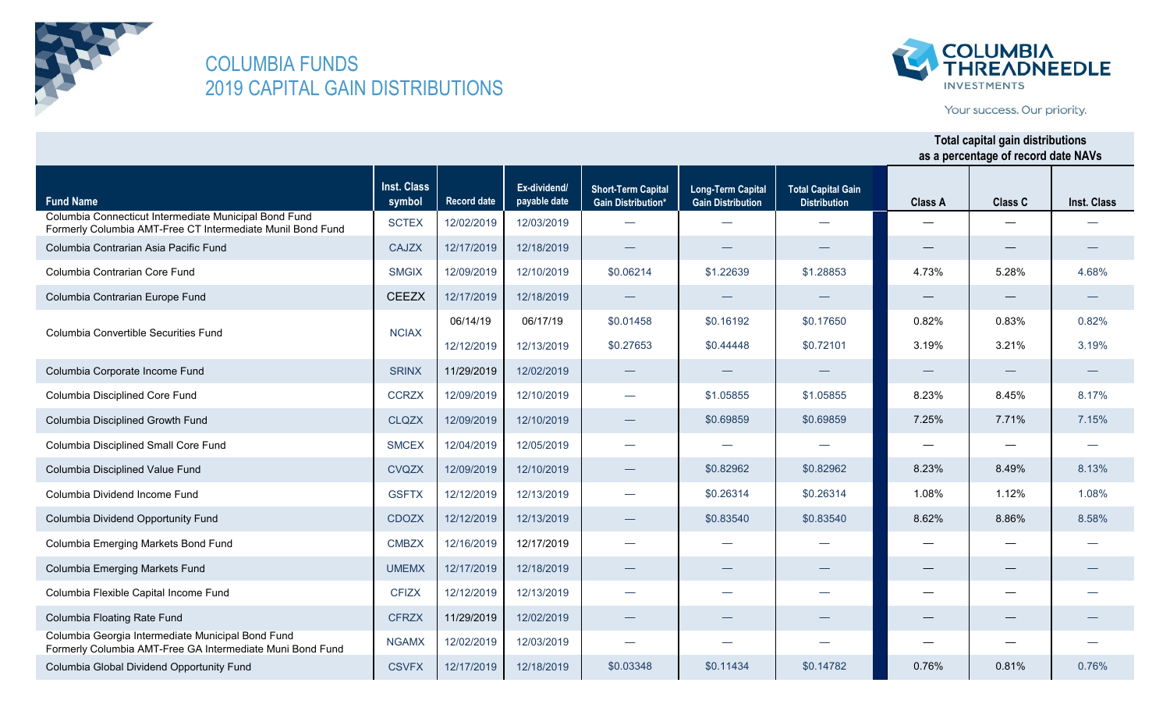



Your success. Our priority.

|                                                                                                                     | Inst. Class  |                    | Ex-dividend/ | <b>Short-Term Capital</b> | <b>Long-Term Capital</b> | <b>Total Capital Gain</b> |                |                   |             |
|---------------------------------------------------------------------------------------------------------------------|--------------|--------------------|--------------|---------------------------|--------------------------|---------------------------|----------------|-------------------|-------------|
| <b>Fund Name</b>                                                                                                    | symbol       | <b>Record date</b> | payable date | <b>Gain Distribution*</b> | <b>Gain Distribution</b> | <b>Distribution</b>       | <b>Class A</b> | <b>Class C</b>    | Inst. Class |
| Columbia Connecticut Intermediate Municipal Bond Fund<br>Formerly Columbia AMT-Free CT Intermediate Munil Bond Fund | <b>SCTEX</b> | 12/02/2019         | 12/03/2019   |                           | $\overline{\phantom{0}}$ |                           |                |                   |             |
| Columbia Contrarian Asia Pacific Fund                                                                               | <b>CAJZX</b> | 12/17/2019         | 12/18/2019   |                           |                          |                           |                |                   |             |
| Columbia Contrarian Core Fund                                                                                       | <b>SMGIX</b> | 12/09/2019         | 12/10/2019   | \$0.06214                 | \$1.22639                | \$1.28853                 | 4.73%          | 5.28%             | 4.68%       |
| Columbia Contrarian Europe Fund                                                                                     | <b>CEEZX</b> | 12/17/2019         | 12/18/2019   |                           |                          |                           |                |                   |             |
| Columbia Convertible Securities Fund                                                                                | <b>NCIAX</b> | 06/14/19           | 06/17/19     | \$0.01458                 | \$0.16192                | \$0.17650                 | 0.82%          | 0.83%             | 0.82%       |
|                                                                                                                     |              | 12/12/2019         | 12/13/2019   | \$0.27653                 | \$0.44448                | \$0.72101                 | 3.19%          | 3.21%             | 3.19%       |
| Columbia Corporate Income Fund                                                                                      | <b>SRINX</b> | 11/29/2019         | 12/02/2019   |                           |                          |                           |                |                   |             |
| Columbia Disciplined Core Fund                                                                                      | <b>CCRZX</b> | 12/09/2019         | 12/10/2019   |                           | \$1.05855                | \$1.05855                 | 8.23%          | 8.45%             | 8.17%       |
| Columbia Disciplined Growth Fund                                                                                    | <b>CLQZX</b> | 12/09/2019         | 12/10/2019   |                           | \$0.69859                | \$0.69859                 | 7.25%          | 7.71%             | 7.15%       |
| Columbia Disciplined Small Core Fund                                                                                | <b>SMCEX</b> | 12/04/2019         | 12/05/2019   | $\overline{\phantom{0}}$  |                          |                           |                |                   |             |
| Columbia Disciplined Value Fund                                                                                     | <b>CVQZX</b> | 12/09/2019         | 12/10/2019   |                           | \$0.82962                | \$0.82962                 | 8.23%          | 8.49%             | 8.13%       |
| Columbia Dividend Income Fund                                                                                       | <b>GSFTX</b> | 12/12/2019         | 12/13/2019   |                           | \$0.26314                | \$0.26314                 | 1.08%          | 1.12%             | 1.08%       |
| Columbia Dividend Opportunity Fund                                                                                  | <b>CDOZX</b> | 12/12/2019         | 12/13/2019   | $\overline{\phantom{m}}$  | \$0.83540                | \$0.83540                 | 8.62%          | 8.86%             | 8.58%       |
| Columbia Emerging Markets Bond Fund                                                                                 | <b>CMBZX</b> | 12/16/2019         | 12/17/2019   | $\overline{\phantom{0}}$  |                          |                           |                |                   |             |
| Columbia Emerging Markets Fund                                                                                      | <b>UMEMX</b> | 12/17/2019         | 12/18/2019   |                           |                          |                           |                | $\hspace{0.05cm}$ |             |
| Columbia Flexible Capital Income Fund                                                                               | <b>CFIZX</b> | 12/12/2019         | 12/13/2019   |                           | $\overline{\phantom{0}}$ |                           |                |                   |             |
| Columbia Floating Rate Fund                                                                                         | <b>CFRZX</b> | 11/29/2019         | 12/02/2019   |                           |                          |                           |                |                   |             |
| Columbia Georgia Intermediate Municipal Bond Fund<br>Formerly Columbia AMT-Free GA Intermediate Muni Bond Fund      | <b>NGAMX</b> | 12/02/2019         | 12/03/2019   |                           | $\overline{\phantom{0}}$ | $\sim$                    |                |                   |             |
| Columbia Global Dividend Opportunity Fund                                                                           | <b>CSVFX</b> | 12/17/2019         | 12/18/2019   | \$0.03348                 | \$0.11434                | \$0.14782                 | 0.76%          | 0.81%             | 0.76%       |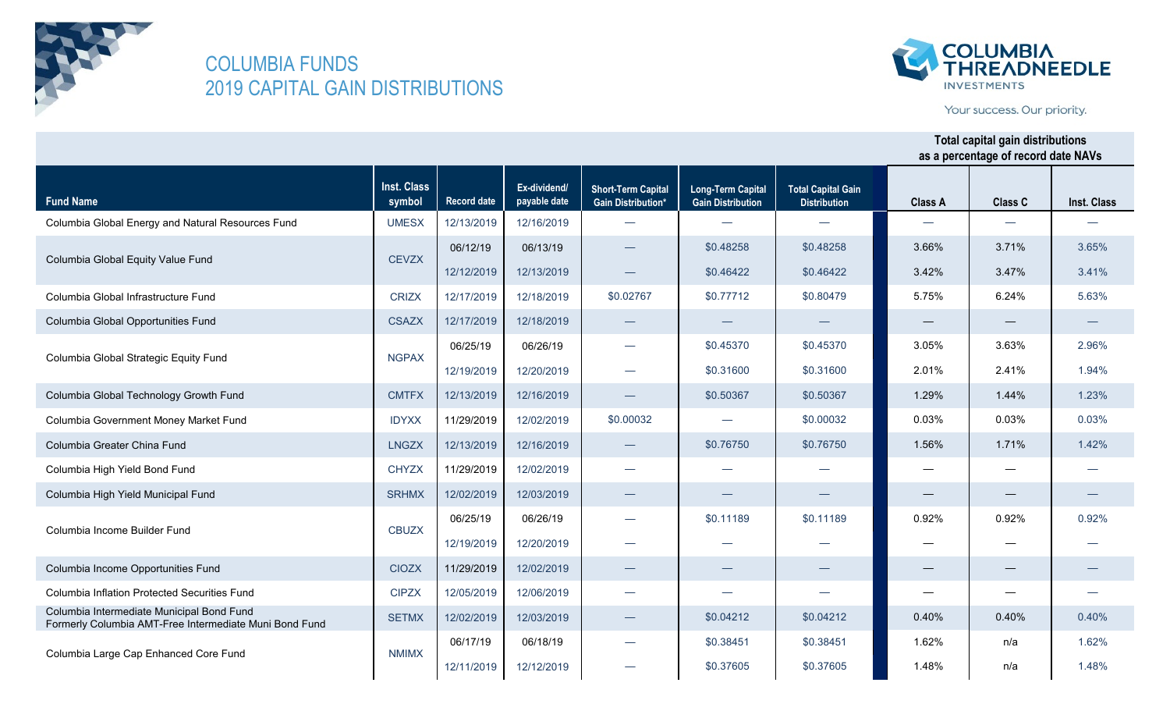



Your success. Our priority.

| <b>Fund Name</b>                                                                                    | <b>Inst. Class</b><br>symbol | <b>Record date</b> | Ex-dividend/<br>payable date | <b>Short-Term Capital</b><br><b>Gain Distribution*</b> | <b>Long-Term Capital</b><br><b>Gain Distribution</b> | <b>Total Capital Gain</b><br><b>Distribution</b> | <b>Class A</b>                  | Class C | <b>Inst. Class</b> |
|-----------------------------------------------------------------------------------------------------|------------------------------|--------------------|------------------------------|--------------------------------------------------------|------------------------------------------------------|--------------------------------------------------|---------------------------------|---------|--------------------|
| Columbia Global Energy and Natural Resources Fund                                                   | <b>UMESX</b>                 | 12/13/2019         | 12/16/2019                   |                                                        |                                                      |                                                  |                                 |         |                    |
|                                                                                                     |                              | 06/12/19           | 06/13/19                     |                                                        | \$0.48258                                            | \$0.48258                                        | 3.66%                           | 3.71%   | 3.65%              |
| Columbia Global Equity Value Fund                                                                   | <b>CEVZX</b>                 | 12/12/2019         | 12/13/2019                   |                                                        | \$0.46422                                            | \$0.46422                                        | 3.42%                           | 3.47%   | 3.41%              |
| Columbia Global Infrastructure Fund                                                                 | <b>CRIZX</b>                 | 12/17/2019         | 12/18/2019                   | \$0.02767                                              | \$0.77712                                            | \$0.80479                                        | 5.75%                           | 6.24%   | 5.63%              |
| Columbia Global Opportunities Fund                                                                  | <b>CSAZX</b>                 | 12/17/2019         | 12/18/2019                   |                                                        |                                                      |                                                  | $\hspace{0.1mm}-\hspace{0.1mm}$ |         |                    |
| Columbia Global Strategic Equity Fund                                                               | <b>NGPAX</b>                 | 06/25/19           | 06/26/19                     |                                                        | \$0.45370                                            | \$0.45370                                        | 3.05%                           | 3.63%   | 2.96%              |
|                                                                                                     |                              | 12/19/2019         | 12/20/2019                   | $\overline{\phantom{a}}$                               | \$0.31600                                            | \$0.31600                                        | 2.01%                           | 2.41%   | 1.94%              |
| Columbia Global Technology Growth Fund                                                              | <b>CMTFX</b>                 | 12/13/2019         | 12/16/2019                   |                                                        | \$0.50367                                            | \$0.50367                                        | 1.29%                           | 1.44%   | 1.23%              |
| Columbia Government Money Market Fund                                                               | <b>IDYXX</b>                 | 11/29/2019         | 12/02/2019                   | \$0.00032                                              |                                                      | \$0.00032                                        | 0.03%                           | 0.03%   | 0.03%              |
| Columbia Greater China Fund                                                                         | <b>LNGZX</b>                 | 12/13/2019         | 12/16/2019                   |                                                        | \$0.76750                                            | \$0.76750                                        | 1.56%                           | 1.71%   | 1.42%              |
| Columbia High Yield Bond Fund                                                                       | <b>CHYZX</b>                 | 11/29/2019         | 12/02/2019                   |                                                        |                                                      |                                                  |                                 |         |                    |
| Columbia High Yield Municipal Fund                                                                  | <b>SRHMX</b>                 | 12/02/2019         | 12/03/2019                   |                                                        |                                                      |                                                  |                                 |         |                    |
| Columbia Income Builder Fund                                                                        | <b>CBUZX</b>                 | 06/25/19           | 06/26/19                     |                                                        | \$0.11189                                            | \$0.11189                                        | 0.92%                           | 0.92%   | 0.92%              |
|                                                                                                     |                              | 12/19/2019         | 12/20/2019                   |                                                        |                                                      |                                                  |                                 |         |                    |
| Columbia Income Opportunities Fund                                                                  | <b>CIOZX</b>                 | 11/29/2019         | 12/02/2019                   |                                                        |                                                      |                                                  |                                 |         |                    |
| Columbia Inflation Protected Securities Fund                                                        | <b>CIPZX</b>                 | 12/05/2019         | 12/06/2019                   |                                                        | $\overline{\phantom{0}}$                             |                                                  |                                 |         |                    |
| Columbia Intermediate Municipal Bond Fund<br>Formerly Columbia AMT-Free Intermediate Muni Bond Fund | <b>SETMX</b>                 | 12/02/2019         | 12/03/2019                   |                                                        | \$0.04212                                            | \$0.04212                                        | 0.40%                           | 0.40%   | 0.40%              |
|                                                                                                     |                              | 06/17/19           | 06/18/19                     |                                                        | \$0.38451                                            | \$0.38451                                        | 1.62%                           | n/a     | 1.62%              |
| Columbia Large Cap Enhanced Core Fund                                                               | <b>NMIMX</b>                 | 12/11/2019         | 12/12/2019                   |                                                        | \$0.37605                                            | \$0.37605                                        | 1.48%                           | n/a     | 1.48%              |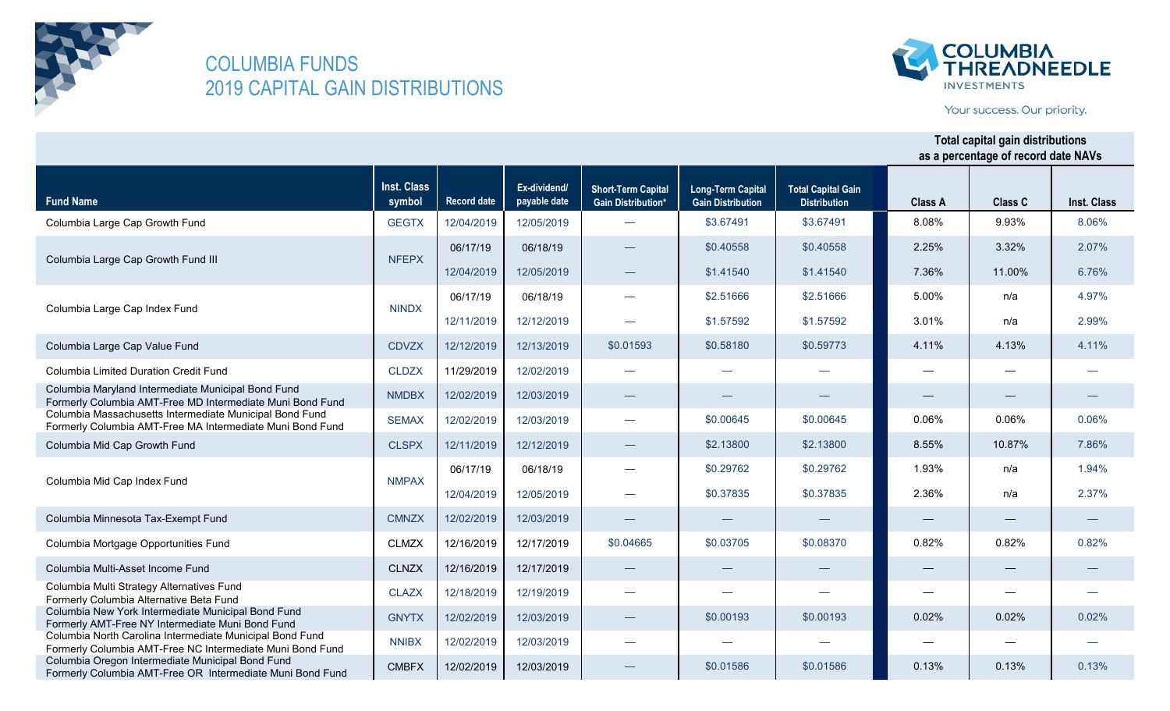



Your success. Our priority.

| <b>Fund Name</b>                                                                                                      | Inst. Class<br>symbol | <b>Record date</b> | Ex-dividend/<br>payable date | <b>Short-Term Capital</b><br><b>Gain Distribution*</b> | <b>Long-Term Capital</b><br><b>Gain Distribution</b> | <b>Total Capital Gain</b><br><b>Distribution</b> | <b>Class A</b>                  | Class C           | Inst. Class |
|-----------------------------------------------------------------------------------------------------------------------|-----------------------|--------------------|------------------------------|--------------------------------------------------------|------------------------------------------------------|--------------------------------------------------|---------------------------------|-------------------|-------------|
| Columbia Large Cap Growth Fund                                                                                        | <b>GEGTX</b>          | 12/04/2019         | 12/05/2019                   |                                                        | \$3.67491                                            | \$3.67491                                        | 8.08%                           | 9.93%             | 8.06%       |
|                                                                                                                       | <b>NFEPX</b>          | 06/17/19           | 06/18/19                     |                                                        | \$0.40558                                            | \$0.40558                                        | 2.25%                           | 3.32%             | 2.07%       |
| Columbia Large Cap Growth Fund III                                                                                    |                       | 12/04/2019         | 12/05/2019                   |                                                        | \$1.41540                                            | \$1.41540                                        | 7.36%                           | 11.00%            | 6.76%       |
|                                                                                                                       | <b>NINDX</b>          | 06/17/19           | 06/18/19                     | $\overline{\phantom{0}}$                               | \$2.51666                                            | \$2.51666                                        | 5.00%                           | n/a               | 4.97%       |
| Columbia Large Cap Index Fund                                                                                         |                       | 12/11/2019         | 12/12/2019                   |                                                        | \$1.57592                                            | \$1.57592                                        | 3.01%                           | n/a               | 2.99%       |
| Columbia Large Cap Value Fund                                                                                         | <b>CDVZX</b>          | 12/12/2019         | 12/13/2019                   | \$0.01593                                              | \$0.58180                                            | \$0.59773                                        | 4.11%                           | 4.13%             | 4.11%       |
| <b>Columbia Limited Duration Credit Fund</b>                                                                          | <b>CLDZX</b>          | 11/29/2019         | 12/02/2019                   |                                                        |                                                      |                                                  |                                 |                   |             |
| Columbia Maryland Intermediate Municipal Bond Fund<br>Formerly Columbia AMT-Free MD Intermediate Muni Bond Fund       | <b>NMDBX</b>          | 12/02/2019         | 12/03/2019                   |                                                        |                                                      |                                                  |                                 |                   |             |
| Columbia Massachusetts Intermediate Municipal Bond Fund<br>Formerly Columbia AMT-Free MA Intermediate Muni Bond Fund  | <b>SEMAX</b>          | 12/02/2019         | 12/03/2019                   |                                                        | \$0.00645                                            | \$0.00645                                        | 0.06%                           | 0.06%             | 0.06%       |
| Columbia Mid Cap Growth Fund                                                                                          | <b>CLSPX</b>          | 12/11/2019         | 12/12/2019                   |                                                        | \$2.13800                                            | \$2.13800                                        | 8.55%                           | 10.87%            | 7.86%       |
|                                                                                                                       | <b>NMPAX</b>          | 06/17/19           | 06/18/19                     | $\overline{\phantom{0}}$                               | \$0.29762                                            | \$0.29762                                        | 1.93%                           | n/a               | 1.94%       |
| Columbia Mid Cap Index Fund                                                                                           |                       | 12/04/2019         | 12/05/2019                   |                                                        | \$0.37835                                            | \$0.37835                                        | 2.36%                           | n/a               | 2.37%       |
| Columbia Minnesota Tax-Exempt Fund                                                                                    | <b>CMNZX</b>          | 12/02/2019         | 12/03/2019                   |                                                        |                                                      |                                                  | $\hspace{0.1mm}-\hspace{0.1mm}$ |                   |             |
| Columbia Mortgage Opportunities Fund                                                                                  | <b>CLMZX</b>          | 12/16/2019         | 12/17/2019                   | \$0.04665                                              | \$0.03705                                            | \$0.08370                                        | 0.82%                           | 0.82%             | 0.82%       |
| Columbia Multi-Asset Income Fund                                                                                      | <b>CLNZX</b>          | 12/16/2019         | 12/17/2019                   |                                                        |                                                      |                                                  |                                 | $\hspace{0.05cm}$ |             |
| Columbia Multi Strategy Alternatives Fund<br>Formerly Columbia Alternative Beta Fund                                  | <b>CLAZX</b>          | 12/18/2019         | 12/19/2019                   |                                                        |                                                      |                                                  |                                 |                   |             |
| Columbia New York Intermediate Municipal Bond Fund<br>Formerly AMT-Free NY Intermediate Muni Bond Fund                | <b>GNYTX</b>          | 12/02/2019         | 12/03/2019                   |                                                        | \$0.00193                                            | \$0.00193                                        | 0.02%                           | 0.02%             | 0.02%       |
| Columbia North Carolina Intermediate Municipal Bond Fund<br>Formerly Columbia AMT-Free NC Intermediate Muni Bond Fund | <b>NNIBX</b>          | 12/02/2019         | 12/03/2019                   |                                                        |                                                      |                                                  |                                 |                   |             |
| Columbia Oregon Intermediate Municipal Bond Fund<br>Formerly Columbia AMT-Free OR Intermediate Muni Bond Fund         | <b>CMBFX</b>          | 12/02/2019         | 12/03/2019                   |                                                        | \$0.01586                                            | \$0.01586                                        | 0.13%                           | 0.13%             | 0.13%       |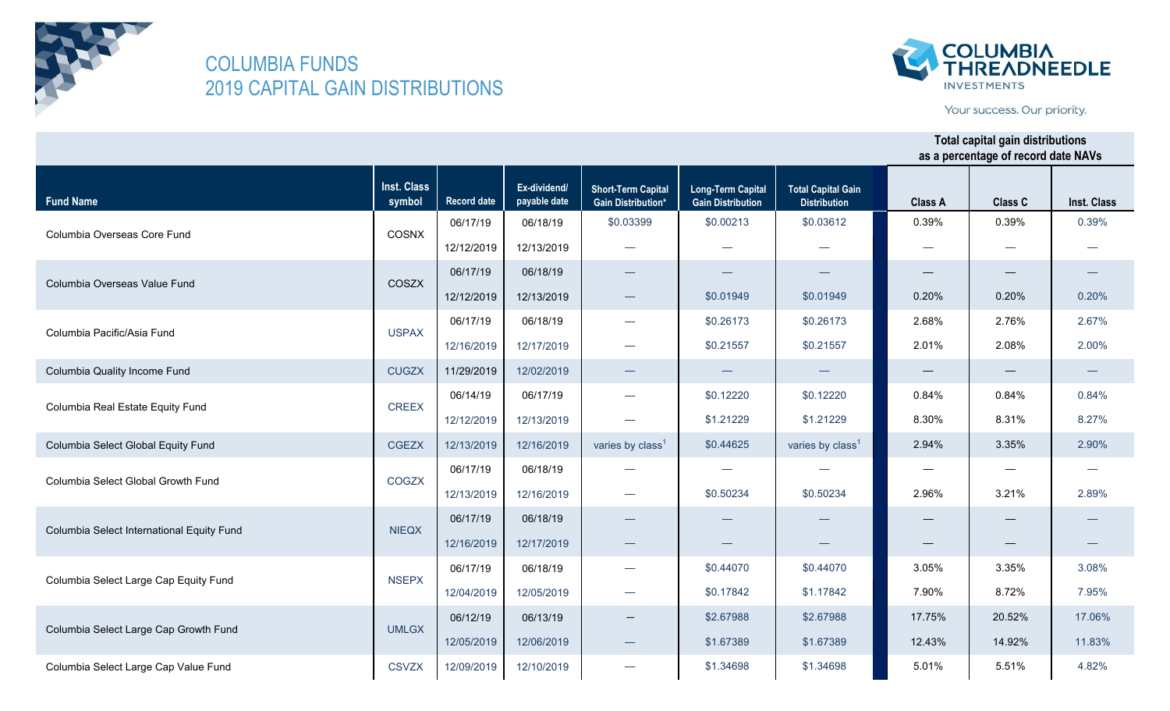



Your success. Our priority.

|                                           | <b>Inst. Class</b> |                    | Ex-dividend/ | <b>Short-Term Capital</b>       | <b>Long-Term Capital</b> | <b>Total Capital Gain</b>    |                |         |             |
|-------------------------------------------|--------------------|--------------------|--------------|---------------------------------|--------------------------|------------------------------|----------------|---------|-------------|
| <b>Fund Name</b>                          | symbol             | <b>Record date</b> | payable date | <b>Gain Distribution*</b>       | <b>Gain Distribution</b> | <b>Distribution</b>          | <b>Class A</b> | Class C | Inst. Class |
| Columbia Overseas Core Fund               | COSNX              | 06/17/19           | 06/18/19     | \$0.03399                       | \$0.00213                | \$0.03612                    | 0.39%          | 0.39%   | 0.39%       |
|                                           |                    | 12/12/2019         | 12/13/2019   |                                 |                          |                              |                |         |             |
|                                           | COSZX              | 06/17/19           | 06/18/19     |                                 |                          |                              |                |         |             |
| Columbia Overseas Value Fund              |                    | 12/12/2019         | 12/13/2019   | $\hspace{0.1mm}-\hspace{0.1mm}$ | \$0.01949                | \$0.01949                    | 0.20%          | 0.20%   | 0.20%       |
| Columbia Pacific/Asia Fund                | <b>USPAX</b>       | 06/17/19           | 06/18/19     | $\overbrace{\phantom{123321}}$  | \$0.26173                | \$0.26173                    | 2.68%          | 2.76%   | 2.67%       |
|                                           |                    | 12/16/2019         | 12/17/2019   |                                 | \$0.21557                | \$0.21557                    | 2.01%          | 2.08%   | 2.00%       |
| Columbia Quality Income Fund              | <b>CUGZX</b>       | 11/29/2019         | 12/02/2019   | $\overline{\phantom{0}}$        |                          |                              |                |         |             |
| Columbia Real Estate Equity Fund          | <b>CREEX</b>       | 06/14/19           | 06/17/19     |                                 | \$0.12220                | \$0.12220                    | 0.84%          | 0.84%   | 0.84%       |
|                                           |                    | 12/12/2019         | 12/13/2019   |                                 | \$1.21229                | \$1.21229                    | 8.30%          | 8.31%   | 8.27%       |
| Columbia Select Global Equity Fund        | <b>CGEZX</b>       | 12/13/2019         | 12/16/2019   | varies by class <sup>1</sup>    | \$0.44625                | varies by class <sup>1</sup> | 2.94%          | 3.35%   | 2.90%       |
| Columbia Select Global Growth Fund        | COGZX              | 06/17/19           | 06/18/19     |                                 | —                        |                              | —              |         |             |
|                                           |                    | 12/13/2019         | 12/16/2019   |                                 | \$0.50234                | \$0.50234                    | 2.96%          | 3.21%   | 2.89%       |
| Columbia Select International Equity Fund | <b>NIEQX</b>       | 06/17/19           | 06/18/19     |                                 |                          |                              |                |         |             |
|                                           |                    | 12/16/2019         | 12/17/2019   | $\overbrace{\phantom{aaaaa}}$   |                          |                              |                |         |             |
| Columbia Select Large Cap Equity Fund     | <b>NSEPX</b>       | 06/17/19           | 06/18/19     | $\overline{\phantom{m}}$        | \$0.44070                | \$0.44070                    | 3.05%          | 3.35%   | 3.08%       |
|                                           |                    | 12/04/2019         | 12/05/2019   | $\overline{\phantom{m}}$        | \$0.17842                | \$1.17842                    | 7.90%          | 8.72%   | 7.95%       |
|                                           |                    | 06/12/19           | 06/13/19     |                                 | \$2.67988                | \$2.67988                    | 17.75%         | 20.52%  | 17.06%      |
| Columbia Select Large Cap Growth Fund     | <b>UMLGX</b>       | 12/05/2019         | 12/06/2019   |                                 | \$1.67389                | \$1.67389                    | 12.43%         | 14.92%  | 11.83%      |
| Columbia Select Large Cap Value Fund      | <b>CSVZX</b>       | 12/09/2019         | 12/10/2019   |                                 | \$1.34698                | \$1.34698                    | 5.01%          | 5.51%   | 4.82%       |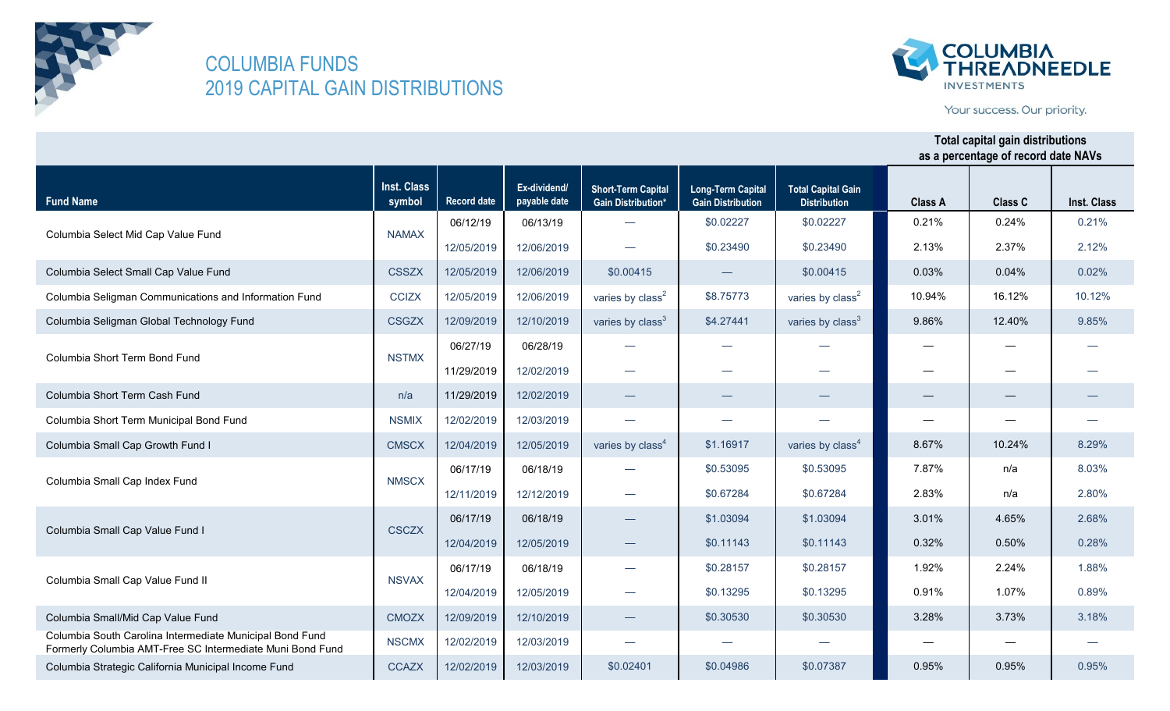

**Fund Name**

### COLUMBIA FUNDS 2019 CAPITAL GAIN DISTRIBUTIONS

Columbia Small/Mid Cap Value Fund CMOZX | 12/09/2019 | 12/10/2019

Formerly Columbia AMT-Free SC Intermediate Muni Bond Fund NSCMX 12/02/2019 12/03/2019 Columbia Strategic California Municipal Income Fund CCAZX 12/02/2019 12/03/2019

Columbia South Carolina Intermediate Municipal Bond Fund

Columbia Small Cap Value Fund II NSVAX



Your success. Our priority.

#### **Inst. Class symbol Record date Ex-dividend/ payable date Short-Term Capital Gain Distribution\* Long-Term Capital Gain Distribution Total Capital Gain Distribution Class A Class C Total capital gain distributions as a percentage of record date NAVs Inst. Class** 06/12/19 06/13/19 12/05/2019 12/06/2019 Columbia Select Small Cap Value Fund CSSZX 12/05/2019 12/06/2019 Columbia Seligman Communications and Information Fund CCIZX 12/05/2019 12/06/2019 Columbia Seligman Global Technology Fund CSGZX 12/09/2019 12/10/2019 06/27/19 06/28/19 11/29/2019 12/02/2019 Columbia Short Term Cash Fund n/a 11/29/2019 12/02/2019 Columbia Short Term Municipal Bond Fund NSMIX | 12/02/2019 | 12/03/2019 Columbia Small Cap Growth Fund I CMSCX 12/04/2019 12/05/2019 06/17/19 06/18/19 12/11/2019 12/12/2019 06/17/19 06/18/19 12/04/2019 12/05/2019 06/17/19 06/18/19  $$0.00415$   $$0.00415$ varies by class<sup>2</sup>  $\downarrow$  \$8.75773 varies by class<sup>2</sup> — \$0.02227 \$0.02227 varies by class<sup>3</sup>  $\qquad$  \$4.27441 varies by class<sup>3</sup> — — — — — varies by class<sup>4</sup> — \$0.53095 \$0.53095 — — — — — — 10.12% 9.86% 12.40% 9.85% 0.21% 0.03% 0.24% 0.04% 0.21% 0.02% 10.94% 16.12% 2.37% 2.12% — — 8.67% 10.24% 8.29% — — — — — — — — n/a 8.03% 3.01% 4.65% 2.68% 1.92% 2.24% 1.88% Columbia Small Cap Index Fund NMSCX NMSCX — | \$0.67284 | \$0.67284 | 2.83% | n/a | 2.80% Columbia Small Cap Value Fund I CSCZX — | \$0.11143 | \$0.11143 | 0.32% | 0.50% | 0.28% Columbia Select Mid Cap Value Fund NAMAX  $\vert$  \$0.23490 \$0.23490  $\vert$  2.13% Columbia Short Term Bond Fund NSTMX 7.87% — \$1.03094 \$1.03094  $\frac{1}{30.28157}$   $\frac{1}{30.28157}$ varies by  $class<sup>4</sup>$  \$1.16917

\$0.02401 \$0.04986 \$0.07387

— — —

 $$0.30530$   $$0.30530$ 

 $$0.13295$   $$0.13295$   $$0.91\%$ 

0.95% —

3.28%

3.73% 3.18%

1.07% 0.89%

— 0.95%

— 0.95%

12/04/2019 12/05/2019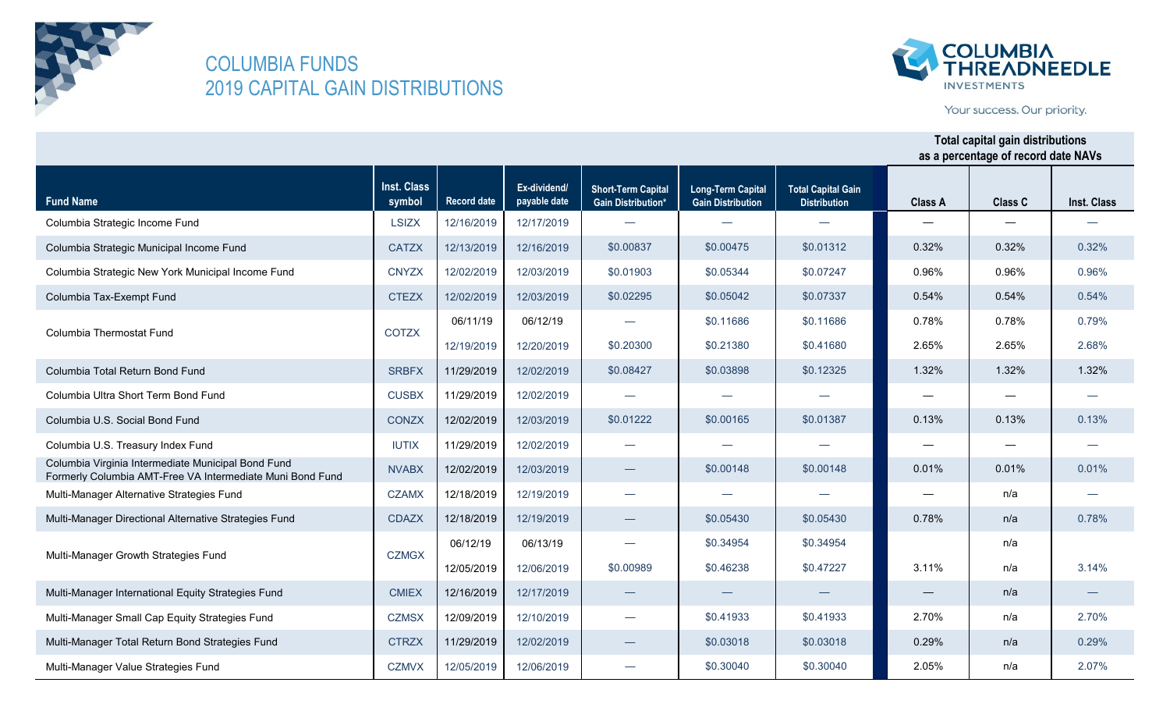



Your success. Our priority.

| <b>Fund Name</b>                                                                                                | Inst. Class<br>symbol | <b>Record date</b> | Ex-dividend/<br>payable date | <b>Short-Term Capital</b><br><b>Gain Distribution*</b> | <b>Long-Term Capital</b><br><b>Gain Distribution</b> | <b>Total Capital Gain</b><br><b>Distribution</b> | <b>Class A</b> | <b>Class C</b> | Inst. Class |
|-----------------------------------------------------------------------------------------------------------------|-----------------------|--------------------|------------------------------|--------------------------------------------------------|------------------------------------------------------|--------------------------------------------------|----------------|----------------|-------------|
| Columbia Strategic Income Fund                                                                                  | <b>LSIZX</b>          | 12/16/2019         | 12/17/2019                   | $\overline{\phantom{m}}$                               |                                                      |                                                  |                |                |             |
| Columbia Strategic Municipal Income Fund                                                                        | <b>CATZX</b>          | 12/13/2019         | 12/16/2019                   | \$0.00837                                              | \$0.00475                                            | \$0.01312                                        | 0.32%          | 0.32%          | 0.32%       |
| Columbia Strategic New York Municipal Income Fund                                                               | <b>CNYZX</b>          | 12/02/2019         | 12/03/2019                   | \$0.01903                                              | \$0.05344                                            | \$0.07247                                        | 0.96%          | 0.96%          | 0.96%       |
| Columbia Tax-Exempt Fund                                                                                        | <b>CTEZX</b>          | 12/02/2019         | 12/03/2019                   | \$0.02295                                              | \$0.05042                                            | \$0.07337                                        | 0.54%          | 0.54%          | 0.54%       |
| Columbia Thermostat Fund                                                                                        | <b>COTZX</b>          | 06/11/19           | 06/12/19                     | $\overline{\phantom{0}}$                               | \$0.11686                                            | \$0.11686                                        | 0.78%          | 0.78%          | 0.79%       |
|                                                                                                                 |                       | 12/19/2019         | 12/20/2019                   | \$0.20300                                              | \$0.21380                                            | \$0.41680                                        | 2.65%          | 2.65%          | 2.68%       |
| Columbia Total Return Bond Fund                                                                                 | <b>SRBFX</b>          | 11/29/2019         | 12/02/2019                   | \$0.08427                                              | \$0.03898                                            | \$0.12325                                        | 1.32%          | 1.32%          | 1.32%       |
| Columbia Ultra Short Term Bond Fund                                                                             | <b>CUSBX</b>          | 11/29/2019         | 12/02/2019                   | $\overline{\phantom{0}}$                               |                                                      |                                                  |                |                |             |
| Columbia U.S. Social Bond Fund                                                                                  | <b>CONZX</b>          | 12/02/2019         | 12/03/2019                   | \$0.01222                                              | \$0.00165                                            | \$0.01387                                        | 0.13%          | 0.13%          | 0.13%       |
| Columbia U.S. Treasury Index Fund                                                                               | <b>IUTIX</b>          | 11/29/2019         | 12/02/2019                   | $\overline{\phantom{0}}$                               | $\overline{\phantom{0}}$                             |                                                  |                |                |             |
| Columbia Virginia Intermediate Municipal Bond Fund<br>Formerly Columbia AMT-Free VA Intermediate Muni Bond Fund | <b>NVABX</b>          | 12/02/2019         | 12/03/2019                   | $\qquad \qquad$                                        | \$0.00148                                            | \$0.00148                                        | 0.01%          | 0.01%          | 0.01%       |
| Multi-Manager Alternative Strategies Fund                                                                       | <b>CZAMX</b>          | 12/18/2019         | 12/19/2019                   | $\overline{\phantom{0}}$                               | $\overline{\phantom{0}}$                             |                                                  |                | n/a            |             |
| Multi-Manager Directional Alternative Strategies Fund                                                           | <b>CDAZX</b>          | 12/18/2019         | 12/19/2019                   | $\overline{\phantom{0}}$                               | \$0.05430                                            | \$0.05430                                        | 0.78%          | n/a            | 0.78%       |
| Multi-Manager Growth Strategies Fund                                                                            | <b>CZMGX</b>          | 06/12/19           | 06/13/19                     | $\overline{\phantom{0}}$                               | \$0.34954                                            | \$0.34954                                        |                | n/a            |             |
|                                                                                                                 |                       | 12/05/2019         | 12/06/2019                   | \$0.00989                                              | \$0.46238                                            | \$0.47227                                        | 3.11%          | n/a            | 3.14%       |
| Multi-Manager International Equity Strategies Fund                                                              | <b>CMIEX</b>          | 12/16/2019         | 12/17/2019                   | $\overbrace{\phantom{aaaaa}}$                          |                                                      |                                                  |                | n/a            |             |
| Multi-Manager Small Cap Equity Strategies Fund                                                                  | <b>CZMSX</b>          | 12/09/2019         | 12/10/2019                   | $\overline{\phantom{0}}$                               | \$0.41933                                            | \$0.41933                                        | 2.70%          | n/a            | 2.70%       |
| Multi-Manager Total Return Bond Strategies Fund                                                                 | <b>CTRZX</b>          | 11/29/2019         | 12/02/2019                   |                                                        | \$0.03018                                            | \$0.03018                                        | 0.29%          | n/a            | 0.29%       |
| Multi-Manager Value Strategies Fund                                                                             | <b>CZMVX</b>          | 12/05/2019         | 12/06/2019                   |                                                        | \$0.30040                                            | \$0.30040                                        | 2.05%          | n/a            | 2.07%       |